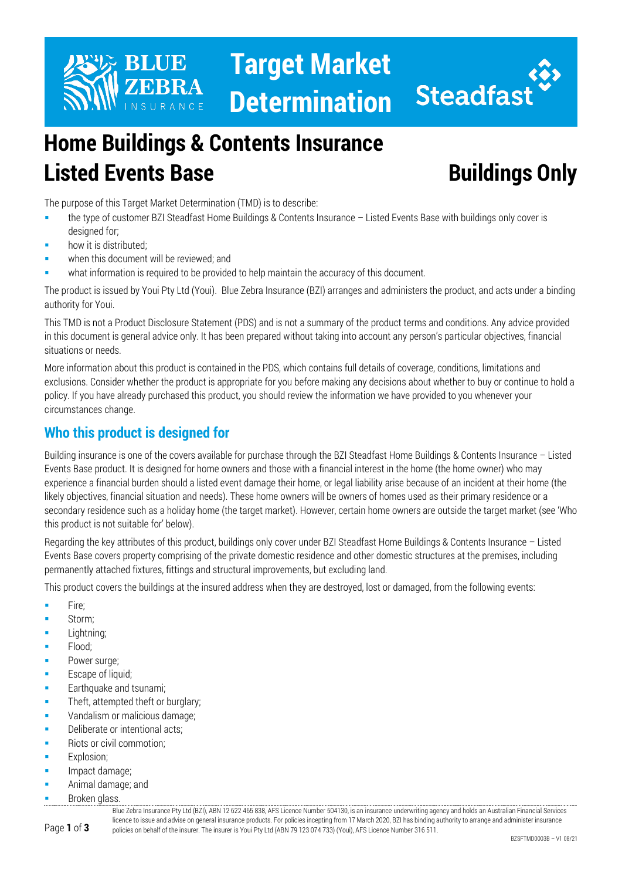

**Target Market Determination**



# **Home Buildings & Contents Insurance Listed Events Base <b>Buildings** Only

The purpose of this Target Market Determination (TMD) is to describe:

- the type of customer BZI Steadfast Home Buildings & Contents Insurance Listed Events Base with buildings only cover is designed for;
- how it is distributed;
- when this document will be reviewed; and
- what information is required to be provided to help maintain the accuracy of this document.

The product is issued by Youi Pty Ltd (Youi). Blue Zebra Insurance (BZI) arranges and administers the product, and acts under a binding authority for Youi.

This TMD is not a Product Disclosure Statement (PDS) and is not a summary of the product terms and conditions. Any advice provided in this document is general advice only. It has been prepared without taking into account any person's particular objectives, financial situations or needs.

More information about this product is contained in the PDS, which contains full details of coverage, conditions, limitations and exclusions. Consider whether the product is appropriate for you before making any decisions about whether to buy or continue to hold a policy. If you have already purchased this product, you should review the information we have provided to you whenever your circumstances change.

# **Who this product is designed for**

Building insurance is one of the covers available for purchase through the BZI Steadfast Home Buildings & Contents Insurance – Listed Events Base product. It is designed for home owners and those with a financial interest in the home (the home owner) who may experience a financial burden should a listed event damage their home, or legal liability arise because of an incident at their home (the likely objectives, financial situation and needs). These home owners will be owners of homes used as their primary residence or a secondary residence such as a holiday home (the target market). However, certain home owners are outside the target market (see 'Who this product is not suitable for' below).

Regarding the key attributes of this product, buildings only cover under BZI Steadfast Home Buildings & Contents Insurance – Listed Events Base covers property comprising of the private domestic residence and other domestic structures at the premises, including permanently attached fixtures, fittings and structural improvements, but excluding land.

This product covers the buildings at the insured address when they are destroyed, lost or damaged, from the following events:

- **Fire:**
- Storm;
- Lightning;
- Flood;
- Power surge;
- Escape of liquid;
- **Earthquake and tsunami;**
- Theft, attempted theft or burglary;
- Vandalism or malicious damage;
- Deliberate or intentional acts:
- Riots or civil commotion;
- Explosion;
- Impact damage;
- Animal damage; and
- Broken glass.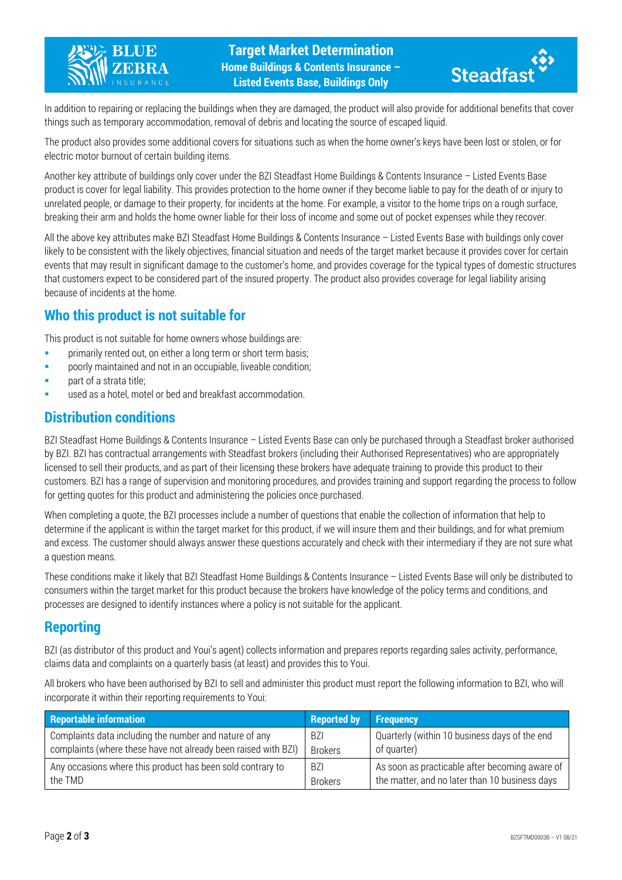



In addition to repairing or replacing the buildings when they are damaged, the product will also provide for additional benefits that cover things such as temporary accommodation, removal of debris and locating the source of escaped liquid.

The product also provides some additional covers for situations such as when the home owner's keys have been lost or stolen, or for electric motor burnout of certain building items.

Another key attribute of buildings only cover under the BZI Steadfast Home Buildings & Contents Insurance – Listed Events Base product is cover for legal liability. This provides protection to the home owner if they become liable to pay for the death of or injury to unrelated people, or damage to their property, for incidents at the home. For example, a visitor to the home trips on a rough surface, breaking their arm and holds the home owner liable for their loss of income and some out of pocket expenses while they recover.

All the above key attributes make BZI Steadfast Home Buildings & Contents Insurance – Listed Events Base with buildings only cover likely to be consistent with the likely objectives, financial situation and needs of the target market because it provides cover for certain events that may result in significant damage to the customer's home, and provides coverage for the typical types of domestic structures that customers expect to be considered part of the insured property. The product also provides coverage for legal liability arising because of incidents at the home.

## **Who this product is not suitable for**

This product is not suitable for home owners whose buildings are:

- **Primarily rented out, on either a long term or short term basis;**
- poorly maintained and not in an occupiable, liveable condition;
- part of a strata title;
- used as a hotel, motel or bed and breakfast accommodation.

## **Distribution conditions**

BZI Steadfast Home Buildings & Contents Insurance – Listed Events Base can only be purchased through a Steadfast broker authorised by BZI. BZI has contractual arrangements with Steadfast brokers (including their Authorised Representatives) who are appropriately licensed to sell their products, and as part of their licensing these brokers have adequate training to provide this product to their customers. BZI has a range of supervision and monitoring procedures, and provides training and support regarding the process to follow for getting quotes for this product and administering the policies once purchased.

When completing a quote, the BZI processes include a number of questions that enable the collection of information that help to determine if the applicant is within the target market for this product, if we will insure them and their buildings, and for what premium and excess. The customer should always answer these questions accurately and check with their intermediary if they are not sure what a question means.

These conditions make it likely that BZI Steadfast Home Buildings & Contents Insurance – Listed Events Base will only be distributed to consumers within the target market for this product because the brokers have knowledge of the policy terms and conditions, and processes are designed to identify instances where a policy is not suitable for the applicant.

## **Reporting**

BZI (as distributor of this product and Youi's agent) collects information and prepares reports regarding sales activity, performance, claims data and complaints on a quarterly basis (at least) and provides this to Youi.

All brokers who have been authorised by BZI to sell and administer this product must report the following information to BZI, who will incorporate it within their reporting requirements to Youi:

| <b>Reportable information</b>                                  | <b>Reported by</b> | <b>Frequency</b>                               |
|----------------------------------------------------------------|--------------------|------------------------------------------------|
| Complaints data including the number and nature of any         | -BZI               | Quarterly (within 10 business days of the end  |
| complaints (where these have not already been raised with BZI) | <b>Brokers</b>     | of quarter)                                    |
| Any occasions where this product has been sold contrary to     | <b>BZI</b>         | As soon as practicable after becoming aware of |
| the TMD                                                        | <b>Brokers</b>     | the matter, and no later than 10 business days |